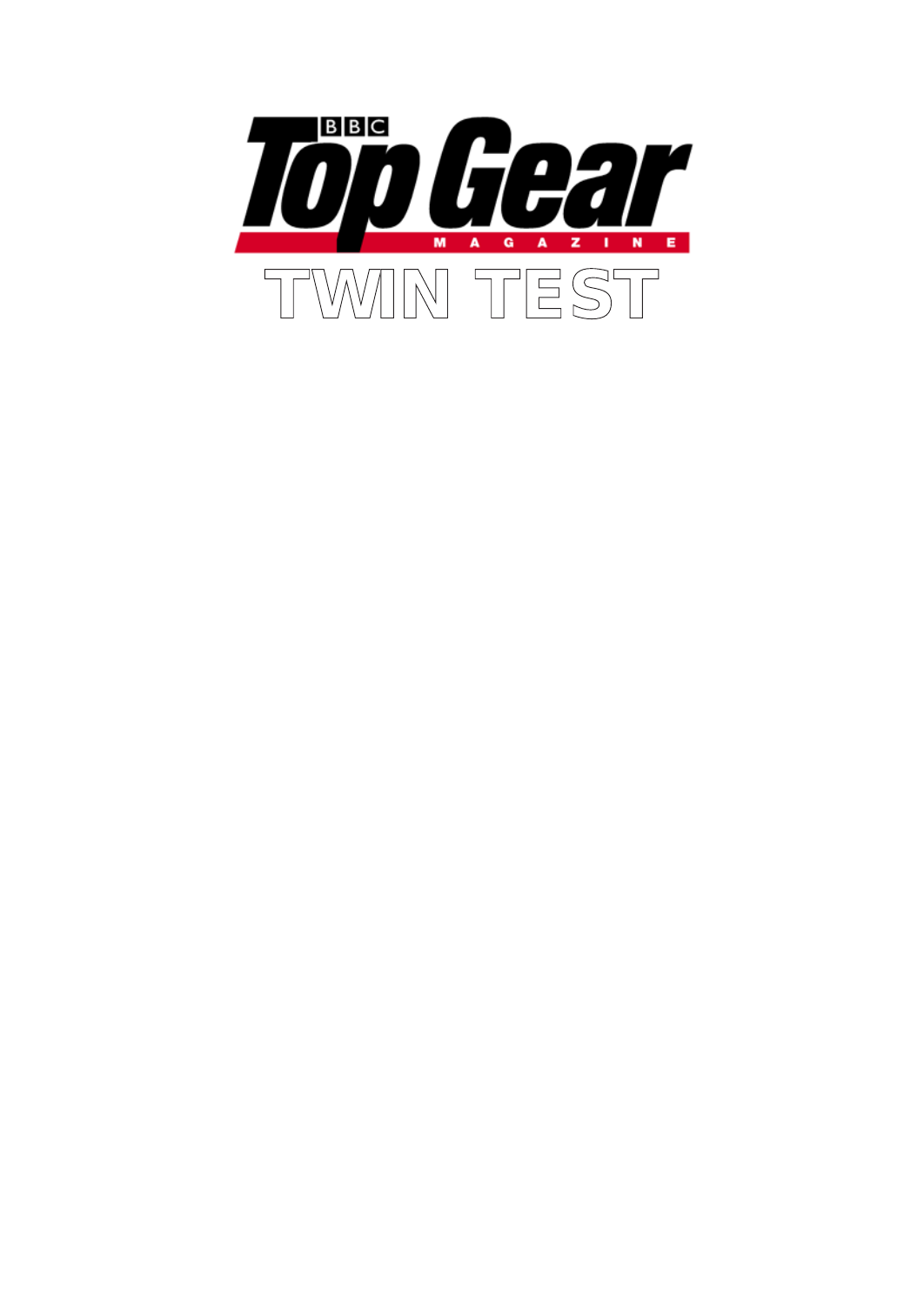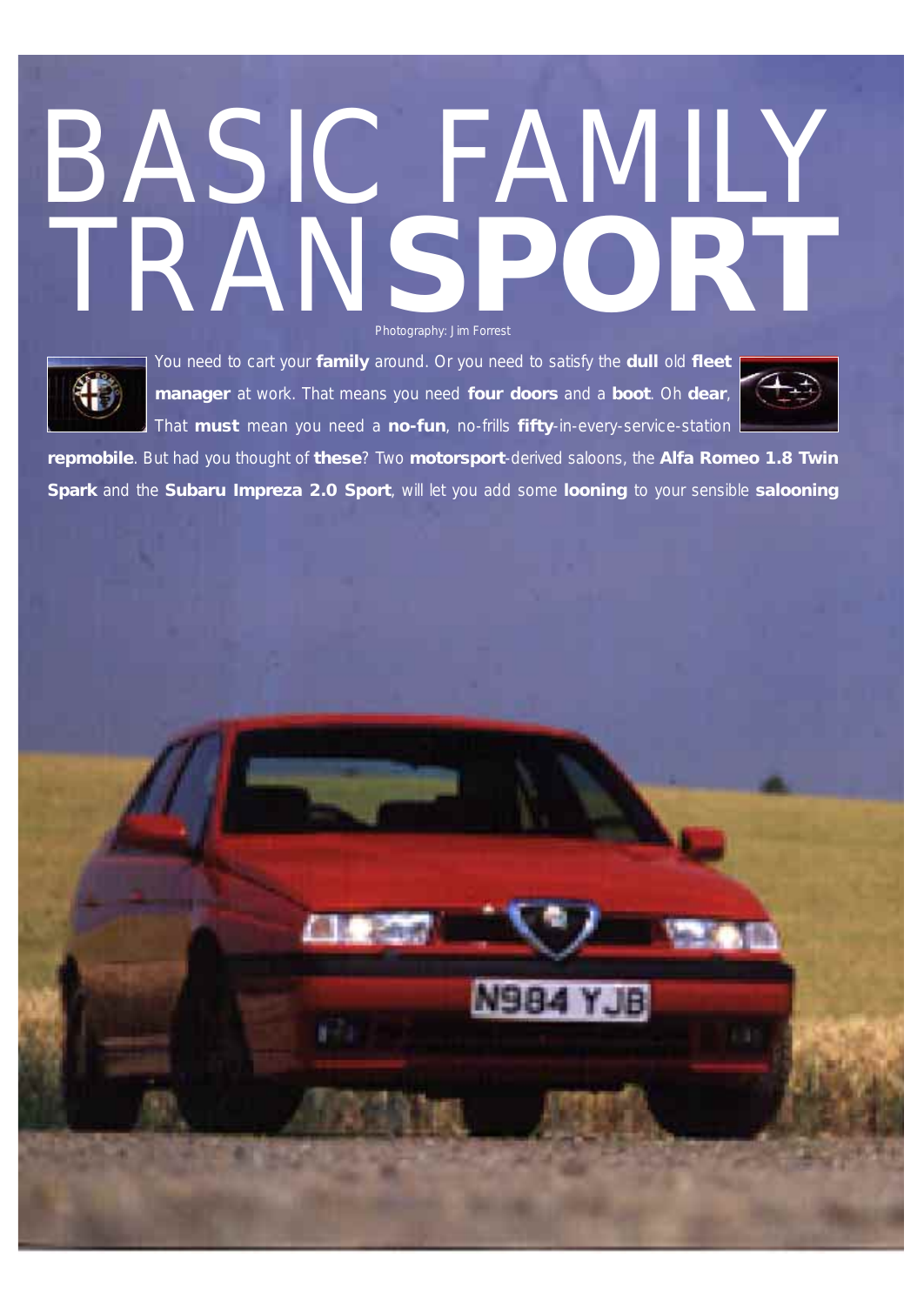# BASIC FAMILY TRAN**SPORT** Photography: Jim Forrest



You need to cart your **family** around. Or you need to satisfy the **dull** old **fleet manager** at work. That means you need **four doors** and a **boot**. Oh **dear**, That **must** mean you need a **no-fun**, no-frills **fifty**-in-every-service-station



**repmobile**. But had you thought of **these**? Two **motorsport**-derived saloons, the **Alfa Romeo 1.8 Twin Spark** and the **Subaru Impreza 2.0 Sport**, will let you add some **looning** to your sensible **salooning**

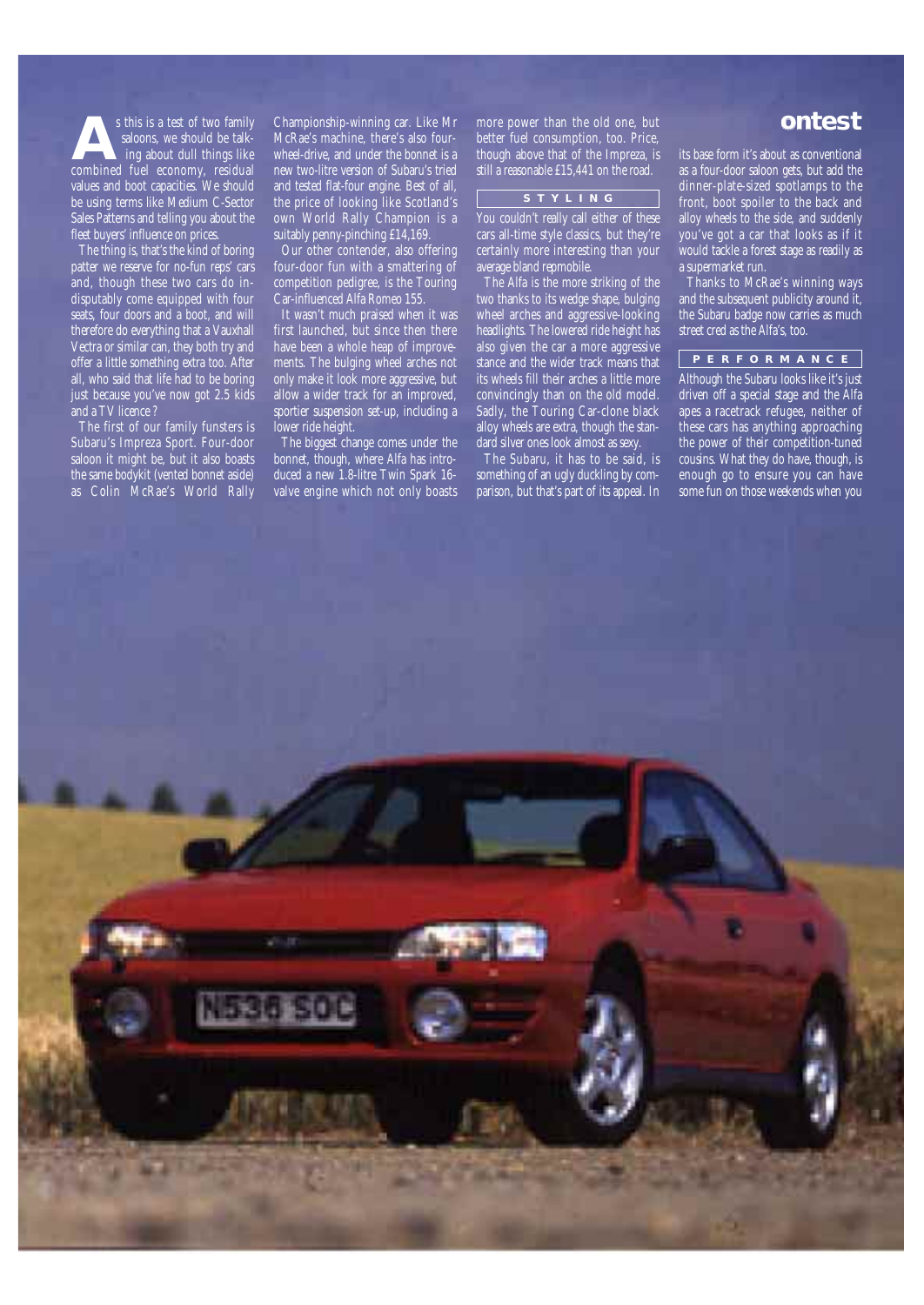saloons, we should be talking about dull things like s this is a test of two family saloons, we should be talking about dull things like combined fuel economy, residual values and boot capacities. We should be using terms like Medium C-Sector Sales Patterns and telling you about the fleet buyers' influence on prices.

The thing is, that's the kind of boring patter we reserve for no-fun reps' cars and, though these two cars do indisputably come equipped with four seats, four doors and a boot, and will therefore do everything that a Vauxhall Vectra or similar can, they both try and offer a little something extra too. After all, who said that life had to be boring just because you've now got 2.5 kids and a TV licence?

The first of our family funsters is Subaru's Impreza Sport. Four-door saloon it might be, but it also boasts the same bodykit (vented bonnet aside) as Colin McRae's World Rally

s this is a test of two family **ontest** Championship-winning car. Like Mr McRae's machine, there's also fourwheel-drive, and under the bonnet is a new two-litre version of Subaru's tried and tested flat-four engine. Best of all, the price of looking like Scotland's own World Rally Champion is a suitably penny-pinching £14,169.

Our other contender, also offering four-door fun with a smattering of competition pedigree, is the Touring Car-influenced Alfa Romeo 155.

It wasn't much praised when it was first launched, but since then there have been a whole heap of improvements. The bulging wheel arches not only make it look more aggressive, but allow a wider track for an improved, sportier suspension set-up, including a lower ride height.

The biggest change comes under the bonnet, though, where Alfa has introduced a new 1.8-litre Twin Spark 16 valve engine which not only boasts more power than the old one, but better fuel consumption, too. Price, though above that of the Impreza, is still a reasonable £15,441 on the road.

## **STYLING**

You couldn't really call either of these cars all-time style classics, but they're certainly more interesting than your average bland repmobile.

The Alfa is the more striking of the two thanks to its wedge shape, bulging wheel arches and aggressive-looking headlights. The lowered ride height has also given the car a more aggressive stance and the wider track means that its wheels fill their arches a little more convincingly than on the old model. Sadly, the Touring Car-clone black alloy wheels are extra, though the standard silver ones look almost as sexy.

The Subaru, it has to be said, is something of an ugly duckling by comparison, but that's part of its appeal. In its base form it's about as conventional as a four-door saloon gets, but add the dinner-plate-sized spotlamps to the front, boot spoiler to the back and alloy wheels to the side, and suddenly you've got a car that looks as if it would tackle a forest stage as readily as a supermarket run.

Thanks to McRae's winning ways and the subsequent publicity around it, the Subaru badge now carries as much street cred as the Alfa's, too.

# **PERFORMANCE**

Although the Subaru looks like it's just driven off a special stage and the Alfa apes a racetrack refugee, neither of these cars has anything approaching the power of their competition-tuned cousins. What they do have, though, is enough go to ensure you can have some fun on those weekends when you

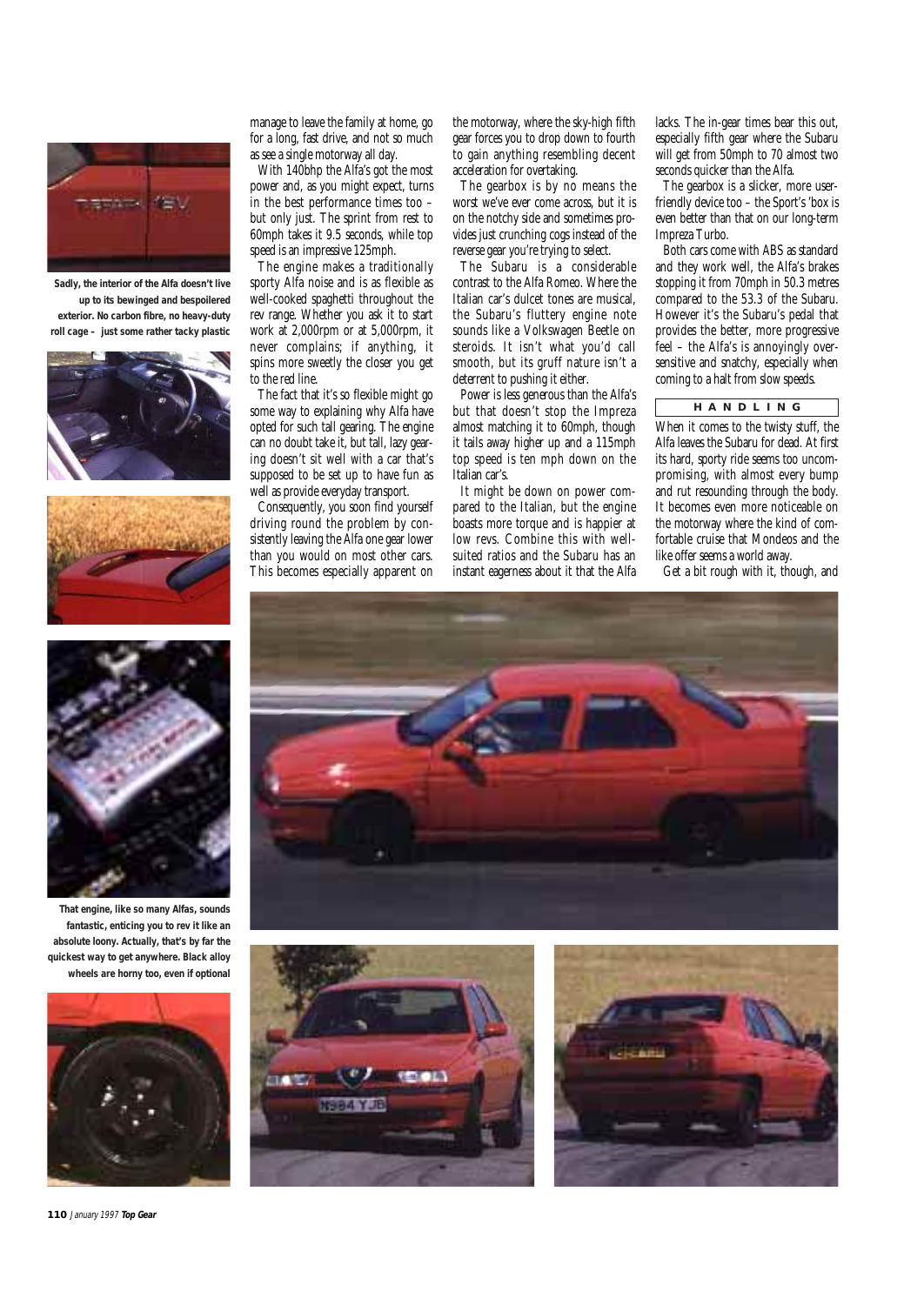

**Sadly, the interior of the Alfa doesn't live up to its bewinged and bespoilered exterior. No carbon fibre, no heavy-duty roll cage – just some rather tacky plastic**





manage to leave the family at home, go for a long, fast drive, and not so much as see a single motorway all day.

With 140bhp the Alfa's got the most power and, as you might expect, turns in the best performance times too – but only just. The sprint from rest to 60mph takes it 9.5 seconds, while top speed is an impressive 125mph.

The engine makes a traditionally sporty Alfa noise and is as flexible as well-cooked spaghetti throughout the rev range. Whether you ask it to start work at 2,000rpm or at 5,000rpm, it never complains; if anything, it spins more sweetly the closer you get to the red line.

The fact that it's so flexible might go some way to explaining why Alfa have opted for such tall gearing. The engine can no doubt take it, but tall, lazy gearing doesn't sit well with a car that's supposed to be set up to have fun as well as provide everyday transport.

Consequently, you soon find yourself driving round the problem by consistently leaving the Alfa one gear lower than you would on most other cars. This becomes especially apparent on

the motorway, where the sky-high fifth gear forces you to drop down to fourth to gain anything resembling decent acceleration for overtaking.

The gearbox is by no means the worst we've ever come across, but it is on the notchy side and sometimes provides just crunching cogs instead of the reverse gear you're trying to select.

The Subaru is a considerable contrast to the Alfa Romeo. Where the Italian car's dulcet tones are musical, the Subaru's fluttery engine note sounds like a Volkswagen Beetle on steroids. It isn't what you'd call smooth, but its gruff nature isn't a deterrent to pushing it either.

Power is less generous than the Alfa's but that doesn't stop the Impreza almost matching it to 60mph, though it tails away higher up and a 115mph top speed is ten mph down on the Italian car's.

It might be down on power compared to the Italian, but the engine boasts more torque and is happier at low revs. Combine this with wellsuited ratios and the Subaru has an instant eagerness about it that the Alfa

lacks. The in-gear times bear this out, especially fifth gear where the Subaru will get from 50mph to 70 almost two seconds quicker than the Alfa.

The gearbox is a slicker, more userfriendly device too – the Sport's 'box is even better than that on our long-term Impreza Turbo.

Both cars come with ABS as standard and they work well, the Alfa's brakes stopping it from 70mph in 50.3 metres compared to the 53.3 of the Subaru. However it's the Subaru's pedal that provides the better, more progressive feel – the Alfa's is annoyingly oversensitive and snatchy, especially when coming to a halt from slow speeds.

# **HANDLING**

When it comes to the twisty stuff, the Alfa leaves the Subaru for dead. At first its hard, sporty ride seems too uncompromising, with almost every bump and rut resounding through the body. It becomes even more noticeable on the motorway where the kind of comfortable cruise that Mondeos and the like offer seems a world away.

Get a bit rough with it, though, and



**That engine, like so many Alfas, sounds fantastic, enticing you to rev it like an absolute loony. Actually, that's by far the quickest way to get anywhere. Black alloy wheels are horny too, even if optional**



**110** January 1997 **Top Gear**





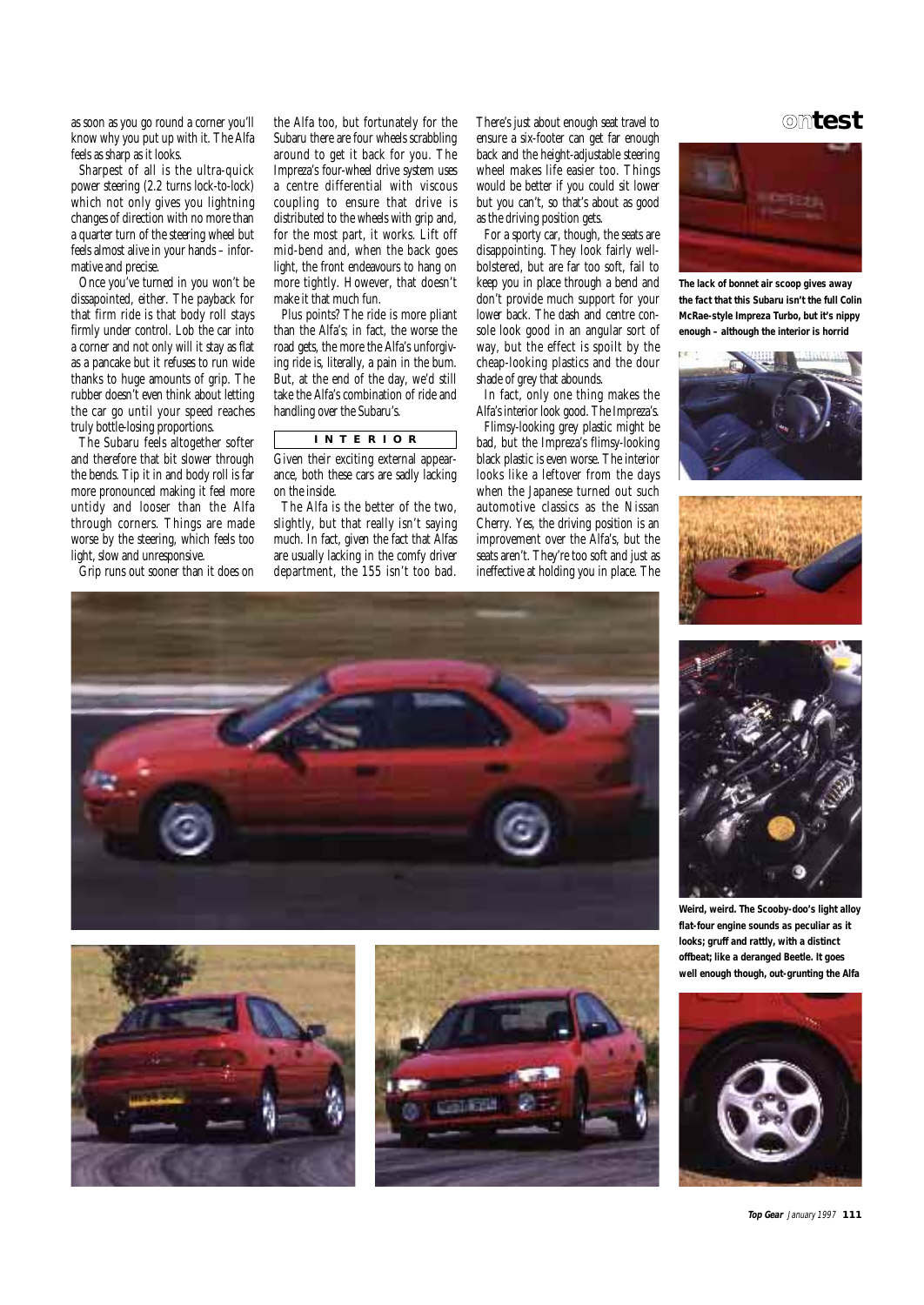as soon as you go round a corner you'll know why you put up with it. The Alfa feels as sharp as it looks.

Sharpest of all is the ultra-quick power steering (2.2 turns lock-to-lock) which not only gives you lightning changes of direction with no more than a quarter turn of the steering wheel but feels almost alive in your hands – informative and precise.

Once you've turned in you won't be dissapointed, either. The payback for that firm ride is that body roll stays firmly under control. Lob the car into a corner and not only will it stay as flat as a pancake but it refuses to run wide thanks to huge amounts of grip. The rubber doesn't even think about letting the car go until your speed reaches truly bottle-losing proportions.

The Subaru feels altogether softer and therefore that bit slower through the bends. Tip it in and body roll is far more pronounced making it feel more untidy and looser than the Alfa through corners. Things are made worse by the steering, which feels too light, slow and unresponsive.

Grip runs out sooner than it does on

the Alfa too, but fortunately for the Subaru there are four wheels scrabbling around to get it back for you. The Impreza's four-wheel drive system uses a centre differential with viscous coupling to ensure that drive is distributed to the wheels with grip and. for the most part, it works. Lift off mid-bend and, when the back goes light, the front endeavours to hang on more tightly. However, that doesn't make it that much fun.

Plus points? The ride is more pliant than the Alfa's; in fact, the worse the road gets, the more the Alfa's unforgiving ride is, literally, a pain in the bum. But, at the end of the day, we'd still take the Alfa's combination of ride and handling over the Subaru's.

# **INTERIOR**

Given their exciting external appearance, both these cars are sadly lacking on the inside.

The Alfa is the better of the two, slightly, but that really isn't saying much. In fact, given the fact that Alfas are usually lacking in the comfy driver department, the 155 isn't too bad.

There's just about enough seat travel to **ontest** ensure a six-footer can get far enough back and the height-adjustable steering wheel makes life easier too. Things would be better if you could sit lower but you can't, so that's about as good as the driving position gets.

For a sporty car, though, the seats are disappointing. They look fairly wellbolstered, but are far too soft, fail to keep you in place through a bend and don't provide much support for your lower back. The dash and centre console look good in an angular sort of way, but the effect is spoilt by the cheap-looking plastics and the dour shade of grey that abounds.

In fact, only one thing makes the Alfa's interior look good. The Impreza's.

Flimsy-looking grey plastic might be bad, but the Impreza's flimsy-looking black plastic is even worse. The interior looks like a leftover from the days when the Japanese turned out such automotive classics as the Nissan Cherry. Yes, the driving position is an improvement over the Alfa's, but the seats aren't. They're too soft and just as ineffective at holding you in place. The



**The lack of bonnet air scoop gives away the fact that this Subaru isn't the full Colin McRae-style Impreza Turbo, but it's nippy enough – although the interior is horrid**













**Weird, weird. The Scooby-doo's light alloy flat-four engine sounds as peculiar as it looks; gruff and rattly, with a distinct offbeat; like a deranged Beetle. It goes well enough though, out-grunting the Alfa**